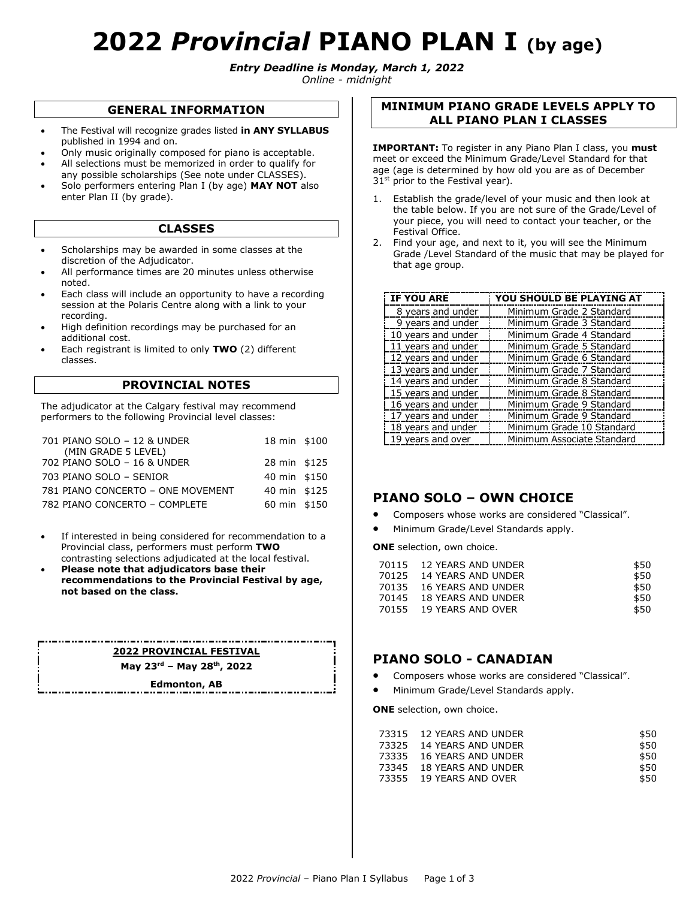# **2022** *Provincial* **PIANO PLAN I (by age)**

*Entry Deadline is Monday, March 1, 2022*

*Online - midnight*

#### **GENERAL INFORMATION**

- The Festival will recognize grades listed **in ANY SYLLABUS**  published in 1994 and on.
- Only music originally composed for piano is acceptable.
- All selections must be memorized in order to qualify for any possible scholarships (See note under CLASSES).
- Solo performers entering Plan I (by age) **MAY NOT** also enter Plan II (by grade).

#### **CLASSES**

- Scholarships may be awarded in some classes at the discretion of the Adjudicator.
- All performance times are 20 minutes unless otherwise noted.
- Each class will include an opportunity to have a recording session at the Polaris Centre along with a link to your recording.
- High definition recordings may be purchased for an additional cost.
- Each registrant is limited to only **TWO** (2) different classes.

#### **PROVINCIAL NOTES**

The adjudicator at the Calgary festival may recommend performers to the following Provincial level classes:

| 701 PIANO SOLO - 12 & UNDER       | 18 min \$100 |
|-----------------------------------|--------------|
| (MIN GRADE 5 LEVEL)               |              |
| 702 PIANO SOLO - 16 & UNDER       | 28 min \$125 |
| 703 PIANO SOLO - SENIOR           | 40 min \$150 |
| 781 PIANO CONCERTO - ONE MOVEMENT | 40 min \$125 |
| 782 PIANO CONCERTO - COMPLETE     | 60 min \$150 |

- If interested in being considered for recommendation to a Provincial class, performers must perform **TWO**  contrasting selections adjudicated at the local festival.
- **Please note that adjudicators base their recommendations to the Provincial Festival by age, not based on the class.**

## **2022 PROVINCIAL FESTIVAL**

**May 23rd – May 28th, 2022**

**Edmonton, AB**

#### **MINIMUM PIANO GRADE LEVELS APPLY TO ALL PIANO PLAN I CLASSES**

**IMPORTANT:** To register in any Piano Plan I class, you **must**  meet or exceed the Minimum Grade/Level Standard for that age (age is determined by how old you are as of December  $31<sup>st</sup>$  prior to the Festival year).

- 1. Establish the grade/level of your music and then look at the table below. If you are not sure of the Grade/Level of your piece, you will need to contact your teacher, or the Festival Office.
- 2. Find your age, and next to it, you will see the Minimum Grade /Level Standard of the music that may be played for that age group.

| IF YOU ARE         | YOU SHOULD BE PLAYING AT   |
|--------------------|----------------------------|
| 8 years and under  | Minimum Grade 2 Standard   |
| 9 years and under  | Minimum Grade 3 Standard   |
| 10 years and under | Minimum Grade 4 Standard   |
| 11 years and under | Minimum Grade 5 Standard   |
| 12 years and under | Minimum Grade 6 Standard   |
| 13 years and under | Minimum Grade 7 Standard   |
| 14 years and under | Minimum Grade 8 Standard   |
| 15 years and under | Minimum Grade 8 Standard   |
| 16 years and under | Minimum Grade 9 Standard   |
| 17 years and under | Minimum Grade 9 Standard   |
| 18 years and under | Minimum Grade 10 Standard  |
| 19 years and over  | Minimum Associate Standard |

### **PIANO SOLO – OWN CHOICE**

- Composers whose works are considered "Classical".
- Minimum Grade/Level Standards apply.

**ONE** selection, own choice.

| 70115 12 YEARS AND UNDER | \$50 |
|--------------------------|------|
| 70125 14 YEARS AND UNDER | \$50 |
| 70135 16 YEARS AND UNDER | \$50 |
| 70145 18 YEARS AND UNDER | \$50 |
| 70155 19 YEARS AND OVER  | \$50 |
|                          |      |

## **PIANO SOLO - CANADIAN**

- Composers whose works are considered "Classical".
- Minimum Grade/Level Standards apply.

**ONE** selection, own choice.

| 73315 12 YEARS AND UNDER | \$50 |
|--------------------------|------|
| 73325 14 YEARS AND UNDER | \$50 |
| 73335 16 YEARS AND UNDER | \$50 |
| 73345 18 YEARS AND UNDER | \$50 |
| 73355 19 YEARS AND OVER  | \$50 |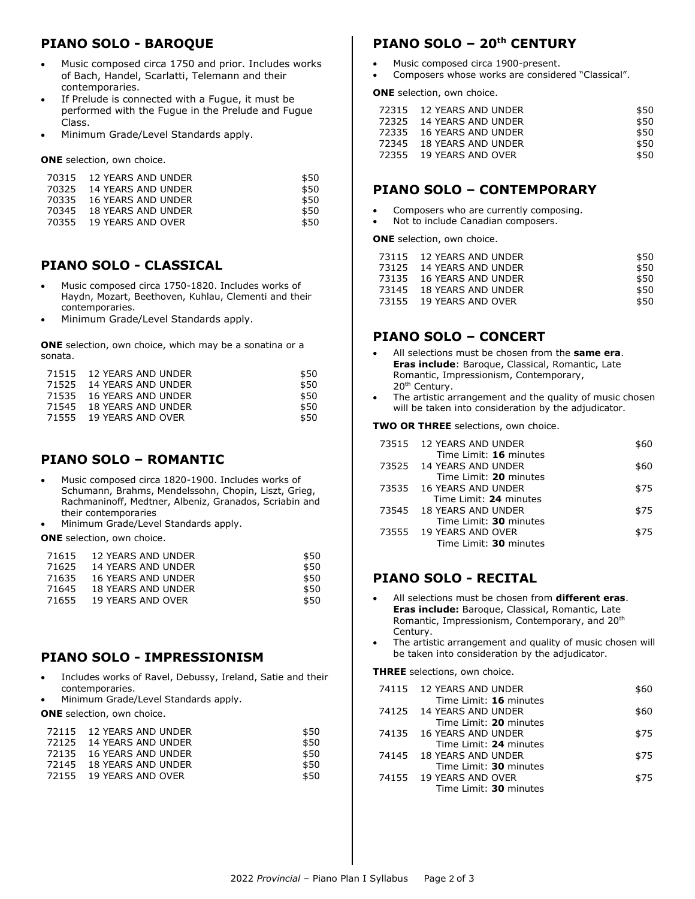# **PIANO SOLO - BAROQUE**

- Music composed circa 1750 and prior. Includes works of Bach, Handel, Scarlatti, Telemann and their contemporaries.
- If Prelude is connected with a Fugue, it must be performed with the Fugue in the Prelude and Fugue Class.
- Minimum Grade/Level Standards apply.

**ONE** selection, own choice.

| 70315 12 YEARS AND UNDER | \$50 |
|--------------------------|------|
| 70325 14 YEARS AND UNDER | \$50 |
| 70335 16 YEARS AND UNDER | \$50 |
| 70345 18 YEARS AND UNDER | \$50 |
| 70355 19 YEARS AND OVER  | \$50 |

## **PIANO SOLO - CLASSICAL**

- Music composed circa 1750-1820. Includes works of Haydn, Mozart, Beethoven, Kuhlau, Clementi and their contemporaries.
- Minimum Grade/Level Standards apply.

**ONE** selection, own choice, which may be a sonatina or a sonata.

| 71515 12 YEARS AND UNDER | \$50 |
|--------------------------|------|
| 71525 14 YEARS AND UNDER | \$50 |
| 71535 16 YEARS AND UNDER | \$50 |
| 71545 18 YEARS AND UNDER | \$50 |
| 71555 19 YEARS AND OVER  | \$50 |

# **PIANO SOLO – ROMANTIC**

- Music composed circa 1820-1900. Includes works of Schumann, Brahms, Mendelssohn, Chopin, Liszt, Grieg, Rachmaninoff, Medtner, Albeniz, Granados, Scriabin and their contemporaries
- Minimum Grade/Level Standards apply.
- **ONE** selection, own choice.

| 71615 | 12 YEARS AND UNDER        | \$50 |
|-------|---------------------------|------|
| 71625 | 14 YEARS AND UNDER        | \$50 |
| 71635 | 16 YEARS AND UNDER        | \$50 |
| 71645 | <b>18 YEARS AND UNDER</b> | \$50 |
| 71655 | 19 YEARS AND OVER         | \$50 |
|       |                           |      |

# **PIANO SOLO - IMPRESSIONISM**

- Includes works of Ravel, Debussy, Ireland, Satie and their contemporaries.
- Minimum Grade/Level Standards apply.

**ONE** selection, own choice.

| 72115 12 YEARS AND UNDER | \$50 |
|--------------------------|------|
| 72125 14 YEARS AND UNDER | \$50 |
| 72135 16 YEARS AND UNDER | \$50 |
| 72145 18 YEARS AND UNDER | \$50 |
| 72155 19 YEARS AND OVER  | \$50 |

# **PIANO SOLO – 20th CENTURY**

- Music composed circa 1900-present.
- Composers whose works are considered "Classical".

**ONE** selection, own choice.

| 72315 12 YEARS AND UNDER | \$50 |
|--------------------------|------|
| 72325 14 YEARS AND UNDER | \$50 |
| 72335 16 YEARS AND UNDER | \$50 |
| 72345 18 YEARS AND UNDER | \$50 |
| 72355 19 YEARS AND OVER  | \$50 |
|                          |      |

## **PIANO SOLO – CONTEMPORARY**

- Composers who are currently composing.
- Not to include Canadian composers.

**ONE** selection, own choice.

| 73115 12 YEARS AND UNDER | \$50 |
|--------------------------|------|
| 73125 14 YEARS AND UNDER | \$50 |
| 73135 16 YEARS AND UNDER | \$50 |
| 73145 18 YEARS AND UNDER | \$50 |
| 73155 19 YEARS AND OVER  | \$50 |

## **PIANO SOLO – CONCERT**

- All selections must be chosen from the **same era**. **Eras include**: Baroque, Classical, Romantic, Late Romantic, Impressionism, Contemporary, 20<sup>th</sup> Century.
- The artistic arrangement and the quality of music chosen will be taken into consideration by the adjudicator.

**TWO OR THREE** selections, own choice.

| 73515 12 YEARS AND UNDER<br>Time Limit: 16 minutes    | \$60 |
|-------------------------------------------------------|------|
| 73525 14 YEARS AND UNDER                              | \$60 |
| Time Limit: 20 minutes<br>73535    16 YEARS AND UNDER | \$75 |
| Time Limit: 24 minutes<br>73545 18 YEARS AND UNDER    | \$75 |
| Time Limit: 30 minutes<br>73555 19 YEARS AND OVER     | \$75 |
| Time Limit: 30 minutes                                |      |
|                                                       |      |

## **PIANO SOLO - RECITAL**

- All selections must be chosen from **different eras**. **Eras include:** Baroque, Classical, Romantic, Late Romantic, Impressionism, Contemporary, and 20th Century.
- The artistic arrangement and quality of music chosen will be taken into consideration by the adjudicator.

**THREE** selections, own choice.

| 74115 12 YEARS AND UNDER | \$60 |
|--------------------------|------|
| Time Limit: 16 minutes   |      |
| 74125 14 YEARS AND UNDER | \$60 |
| Time Limit: 20 minutes   |      |
| 74135 16 YEARS AND UNDER | \$75 |
| Time Limit: 24 minutes   |      |

- 74145 18 YEARS AND UNDER Time Limit: **30** minutes \$75
- 74155 19 YEARS AND OVER Time Limit: **30** minutes \$75